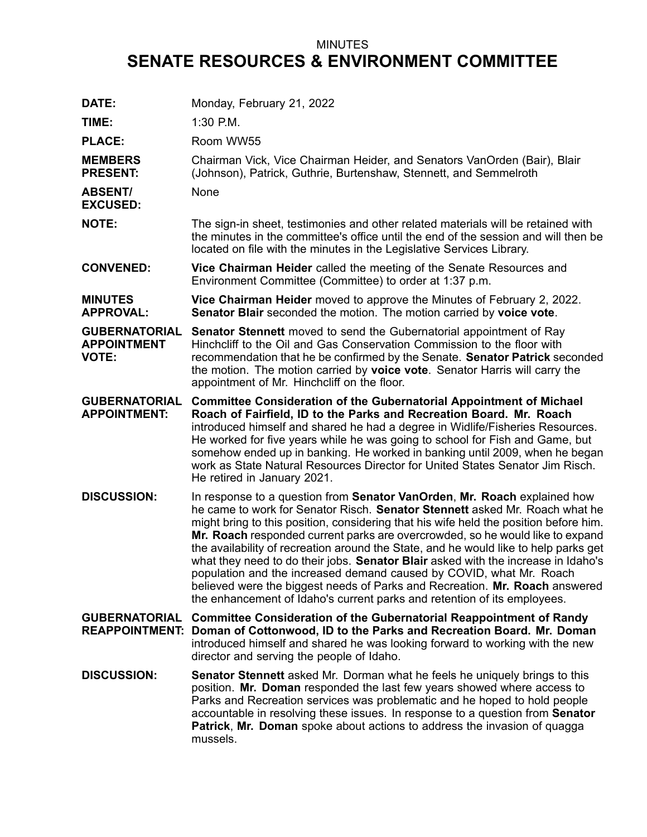## MINUTES **SENATE RESOURCES & ENVIRONMENT COMMITTEE**

| DATE:                                                      | Monday, February 21, 2022                                                                                                                                                                                                                                                                                                                                                                                                                                                                                                                                                                                                                                                                                                                        |
|------------------------------------------------------------|--------------------------------------------------------------------------------------------------------------------------------------------------------------------------------------------------------------------------------------------------------------------------------------------------------------------------------------------------------------------------------------------------------------------------------------------------------------------------------------------------------------------------------------------------------------------------------------------------------------------------------------------------------------------------------------------------------------------------------------------------|
| TIME:                                                      | $1:30$ P.M.                                                                                                                                                                                                                                                                                                                                                                                                                                                                                                                                                                                                                                                                                                                                      |
| <b>PLACE:</b>                                              | Room WW55                                                                                                                                                                                                                                                                                                                                                                                                                                                                                                                                                                                                                                                                                                                                        |
| <b>MEMBERS</b><br><b>PRESENT:</b>                          | Chairman Vick, Vice Chairman Heider, and Senators VanOrden (Bair), Blair<br>(Johnson), Patrick, Guthrie, Burtenshaw, Stennett, and Semmelroth                                                                                                                                                                                                                                                                                                                                                                                                                                                                                                                                                                                                    |
| <b>ABSENT/</b><br><b>EXCUSED:</b>                          | None                                                                                                                                                                                                                                                                                                                                                                                                                                                                                                                                                                                                                                                                                                                                             |
| <b>NOTE:</b>                                               | The sign-in sheet, testimonies and other related materials will be retained with<br>the minutes in the committee's office until the end of the session and will then be<br>located on file with the minutes in the Legislative Services Library.                                                                                                                                                                                                                                                                                                                                                                                                                                                                                                 |
| <b>CONVENED:</b>                                           | Vice Chairman Heider called the meeting of the Senate Resources and<br>Environment Committee (Committee) to order at 1:37 p.m.                                                                                                                                                                                                                                                                                                                                                                                                                                                                                                                                                                                                                   |
| <b>MINUTES</b><br><b>APPROVAL:</b>                         | Vice Chairman Heider moved to approve the Minutes of February 2, 2022.<br>Senator Blair seconded the motion. The motion carried by voice vote.                                                                                                                                                                                                                                                                                                                                                                                                                                                                                                                                                                                                   |
| <b>GUBERNATORIAL</b><br><b>APPOINTMENT</b><br><b>VOTE:</b> | <b>Senator Stennett</b> moved to send the Gubernatorial appointment of Ray<br>Hinchcliff to the Oil and Gas Conservation Commission to the floor with<br>recommendation that he be confirmed by the Senate. Senator Patrick seconded<br>the motion. The motion carried by voice vote. Senator Harris will carry the<br>appointment of Mr. Hinchcliff on the floor.                                                                                                                                                                                                                                                                                                                                                                               |
| <b>GUBERNATORIAL</b><br><b>APPOINTMENT:</b>                | <b>Committee Consideration of the Gubernatorial Appointment of Michael</b><br>Roach of Fairfield, ID to the Parks and Recreation Board. Mr. Roach<br>introduced himself and shared he had a degree in Widlife/Fisheries Resources.<br>He worked for five years while he was going to school for Fish and Game, but<br>somehow ended up in banking. He worked in banking until 2009, when he began<br>work as State Natural Resources Director for United States Senator Jim Risch.<br>He retired in January 2021.                                                                                                                                                                                                                                |
| <b>DISCUSSION:</b>                                         | In response to a question from Senator VanOrden, Mr. Roach explained how<br>he came to work for Senator Risch. Senator Stennett asked Mr. Roach what he<br>might bring to this position, considering that his wife held the position before him.<br>Mr. Roach responded current parks are overcrowded, so he would like to expand<br>the availability of recreation around the State, and he would like to help parks get<br>what they need to do their jobs. Senator Blair asked with the increase in Idaho's<br>population and the increased demand caused by COVID, what Mr. Roach<br>believed were the biggest needs of Parks and Recreation. Mr. Roach answered<br>the enhancement of Idaho's current parks and retention of its employees. |
| <b>GUBERNATORIAL</b>                                       | <b>Committee Consideration of the Gubernatorial Reappointment of Randy</b><br>REAPPOINTMENT: Doman of Cottonwood, ID to the Parks and Recreation Board. Mr. Doman<br>introduced himself and shared he was looking forward to working with the new<br>director and serving the people of Idaho.                                                                                                                                                                                                                                                                                                                                                                                                                                                   |
| <b>DISCUSSION:</b>                                         | <b>Senator Stennett</b> asked Mr. Dorman what he feels he uniquely brings to this<br>position. Mr. Doman responded the last few years showed where access to<br>Parks and Recreation services was problematic and he hoped to hold people<br>accountable in resolving these issues. In response to a question from Senator<br>Patrick, Mr. Doman spoke about actions to address the invasion of quagga<br>mussels.                                                                                                                                                                                                                                                                                                                               |